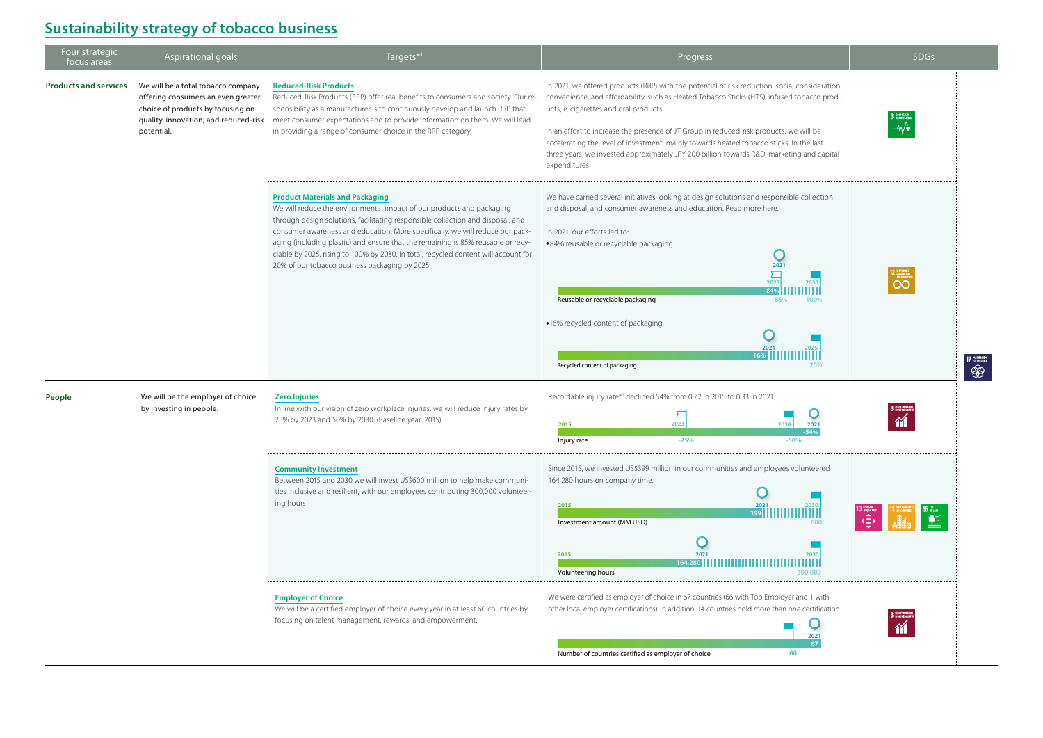| Four strategic<br>focus areas | Aspirational goals                                                                                                          | Targets*1                                                                                                                                                                                                                                                                                                                                                                                                                                                                                                        | Progress                                                                                                                                                                                                                                                                                                                                                                                                                                                                                                                                 | <b>SDGs</b> |
|-------------------------------|-----------------------------------------------------------------------------------------------------------------------------|------------------------------------------------------------------------------------------------------------------------------------------------------------------------------------------------------------------------------------------------------------------------------------------------------------------------------------------------------------------------------------------------------------------------------------------------------------------------------------------------------------------|------------------------------------------------------------------------------------------------------------------------------------------------------------------------------------------------------------------------------------------------------------------------------------------------------------------------------------------------------------------------------------------------------------------------------------------------------------------------------------------------------------------------------------------|-------------|
| <b>Products and services</b>  | We will be a total tobacco company<br>offering consumers an even greater<br>choice of products by focusing on<br>potential. | <b>Reduced-Risk Products</b><br>Reduced-Risk Products (RRP) offer real benefits to consumers and society. Our re-<br>sponsibility as a manufacturer is to continuously develop and launch RRP that<br>quality, innovation, and reduced-risk meet consumer expectations and to provide information on them. We will lead<br>in providing a range of consumer choice in the RRP category.                                                                                                                          | In 2021, we offered products (RRP) with the potential of risk reduction, social consideration,<br>convenience, and affordability, such as Heated Tobacco Sticks (HTS), infused tobacco prod-<br>ucts, e-cigarettes and oral products.<br>In an effort to increase the presence of JT Group in reduced-risk products, we will be<br>accelerating the level of investment, mainly towards heated tobacco sticks. In the last<br>three years, we invested approximately JPY 200 billion towards R&D, marketing and capital<br>expenditures. |             |
|                               |                                                                                                                             | <b>Product Materials and Packaging</b><br>We will reduce the environmental impact of our products and packaging<br>through design solutions, facilitating responsible collection and disposal, and<br>consumer awareness and education. More specifically, we will reduce our pack-<br>aging (including plastic) and ensure that the remaining is 85% reusable or recy-<br>clable by 2025, rising to 100% by 2030. In total, recycled content will account for<br>20% of our tobacco business packaging by 2025. | We have carried several initiatives looking at design solutions and responsible collection<br>and disposal, and consumer awareness and education. Read more here.<br>In 2021, our efforts led to:<br>·84% reusable or recyclable packaging<br>2021<br>2025<br>2030<br>84%<br>Reusable or recyclable packaging<br>85%<br>100%<br>·16% recycled content of packaging<br>Recycled content of packaging                                                                                                                                      |             |
| People                        | We will be the employer of choice<br>by investing in people.                                                                | <b>Zero Injuries</b><br>In line with our vision of zero workplace injuries, we will reduce injury rates by<br>25% by 2023 and 50% by 2030. (Baseline year: 2015).                                                                                                                                                                                                                                                                                                                                                | Recordable injury rate* <sup>2</sup> declined 54% from 0.72 in 2015 to 0.33 in 2021.<br>2023<br>2015<br>Injury rate                                                                                                                                                                                                                                                                                                                                                                                                                      |             |
|                               |                                                                                                                             | <b>Community Investment</b><br>Between 2015 and 2030 we will invest US\$600 million to help make communi-<br>ties inclusive and resilient, with our employees contributing 300,000 volunteer-<br>ing hours.                                                                                                                                                                                                                                                                                                      | Since 2015, we invested US\$399 million in our communities and employees volunteered<br>164,280 hours on company time.<br>2015<br>Investment amount (MM USD)<br>2015<br>164.280<br>Volunteering hours                                                                                                                                                                                                                                                                                                                                    |             |
|                               |                                                                                                                             | <b>Employer of Choice</b><br>We will be a certified employer of choice every year in at least 60 countries by<br>focusing on talent management, rewards, and empowerment.                                                                                                                                                                                                                                                                                                                                        | We were certified as employer of choice in 67 countries (66 with Top Employer and 1 with<br>other local employer certifications). In addition, 14 countries hold more than one certification.                                                                                                                                                                                                                                                                                                                                            |             |

Number of countries certified as employer of choice **60** 



## **[Sustainability strategy of tobacco business](https://www.jt.com/sustainability/tobacco/index.html)**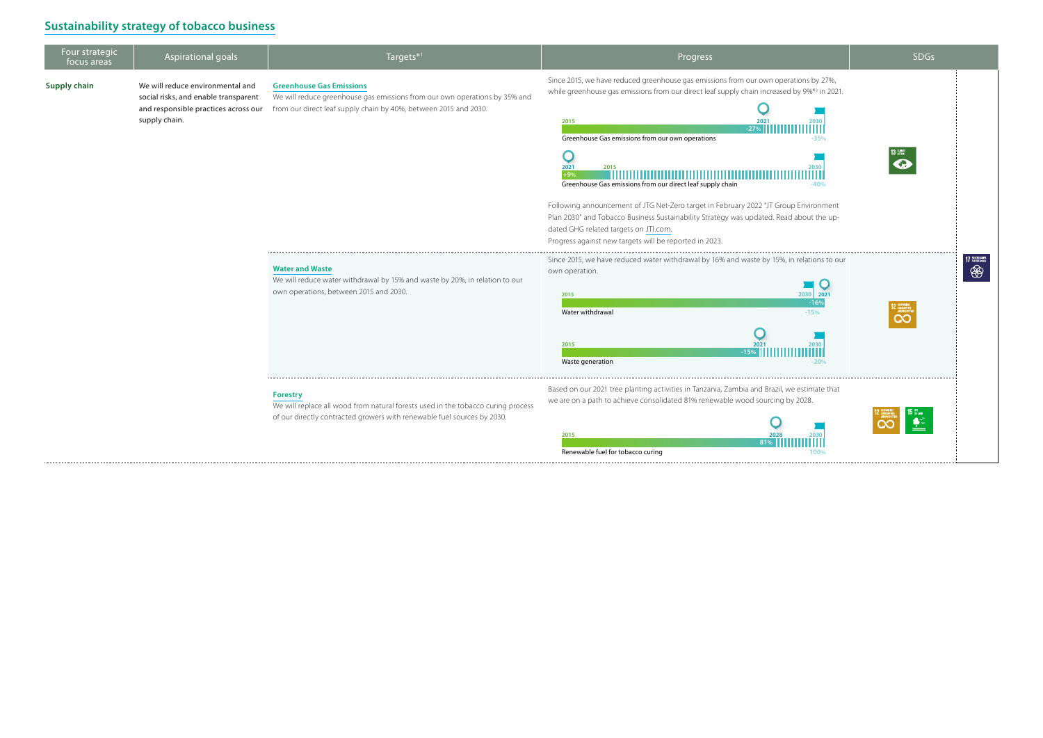| Four strategic<br>focus areas | Aspirational goals                                                                                                                | Targets* <sup>1</sup>                                                                                                                                                             | Progress                                                                                                                                                                                                                                                                                                                                                                                                                                                                                                                                                                                                                                                                   | <b>SDGs</b> |
|-------------------------------|-----------------------------------------------------------------------------------------------------------------------------------|-----------------------------------------------------------------------------------------------------------------------------------------------------------------------------------|----------------------------------------------------------------------------------------------------------------------------------------------------------------------------------------------------------------------------------------------------------------------------------------------------------------------------------------------------------------------------------------------------------------------------------------------------------------------------------------------------------------------------------------------------------------------------------------------------------------------------------------------------------------------------|-------------|
| <b>Supply chain</b>           | We will reduce environmental and<br>social risks, and enable transparent<br>and responsible practices across our<br>supply chain. | <b>Greenhouse Gas Emissions</b><br>We will reduce greenhouse gas emissions from our own operations by 35% and<br>from our direct leaf supply chain by 40%, between 2015 and 2030. | Since 2015, we have reduced greenhouse gas emissions from our own operations by 27%,<br>while greenhouse gas emissions from our direct leaf supply chain increased by 9%*3 in 2021.<br>2015<br>2030<br>$-27%$<br>Greenhouse Gas emissions from our own operations<br>$-35%$<br>2021<br>2015<br>2030<br>$+9%$<br>Greenhouse Gas emissions from our direct leaf supply chain<br>$-40%$<br>Following announcement of JTG Net-Zero target in February 2022 "JT Group Environment<br>Plan 2030" and Tobacco Business Sustainability Strategy was updated. Read about the up-<br>dated GHG related targets on JTI.com.<br>Progress against new targets will be reported in 2023. |             |
|                               |                                                                                                                                   | <b>Water and Waste</b><br>We will reduce water withdrawal by 15% and waste by 20%, in relation to our<br>own operations, between 2015 and 2030.                                   | Since 2015, we have reduced water withdrawal by 16% and waste by 15%, in relations to our<br>own operation.<br>2030<br>2015<br>Water withdrawal<br>$-15%$<br>2021<br>2015<br>2030<br>$-15%$<br>Waste generation<br>$-20%$                                                                                                                                                                                                                                                                                                                                                                                                                                                  |             |
|                               |                                                                                                                                   | <b>Forestry</b><br>We will replace all wood from natural forests used in the tobacco curing process<br>of our directly contracted growers with renewable fuel sources by 2030.    | Based on our 2021 tree planting activities in Tanzania, Zambia and Brazil, we estimate that<br>we are on a path to achieve consolidated 81% renewable wood sourcing by 2028.<br>2015                                                                                                                                                                                                                                                                                                                                                                                                                                                                                       |             |



## **[Sustainability strategy of tobacco business](https://www.jt.com/sustainability/tobacco/index.html)**

Renewable fuel for tobacco curing **100%**